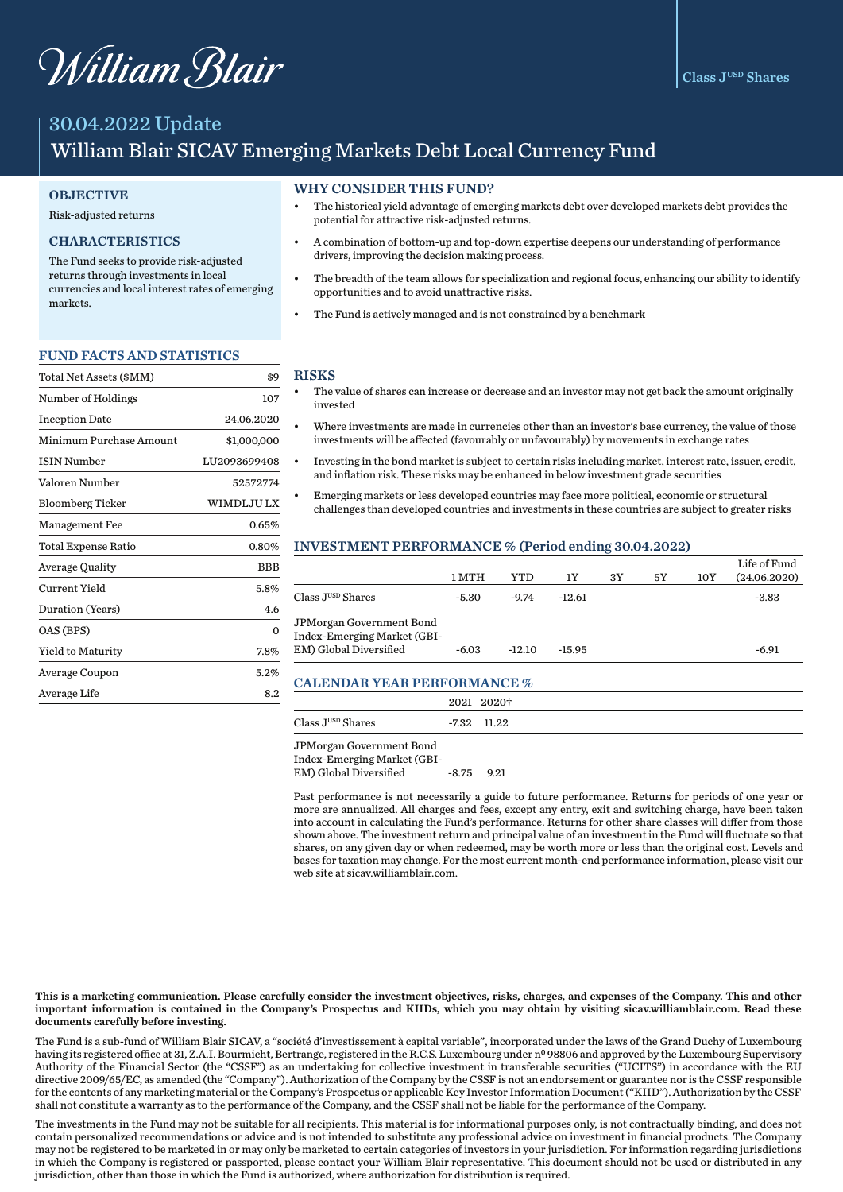# William Blair

# 30.04.2022 Update William Blair SICAV Emerging Markets Debt Local Currency Fund

#### **OBJECTIVE**

#### Risk-adjusted returns

# CHARACTERISTICS

The Fund seeks to provide risk-adjusted returns through investments in local currencies and local interest rates of emerging markets.

#### FUND FACTS AND STATISTICS

| Total Net Assets (\$MM) | \$9          |
|-------------------------|--------------|
| Number of Holdings      | 107          |
| <b>Inception Date</b>   | 24.06.2020   |
| Minimum Purchase Amount | \$1,000,000  |
| <b>ISIN Number</b>      | LU2093699408 |
| Valoren Number          | 52572774     |
| <b>Bloomberg Ticker</b> | WIMDLJU LX   |
| <b>Management Fee</b>   | 0.65%        |
| Total Expense Ratio     | 0.80%        |
| <b>Average Quality</b>  | BBB          |
| Current Yield           | 5.8%         |
| Duration (Years)        | 4.6          |
| OAS (BPS)               | 0            |
| Yield to Maturity       | 7.8%         |
| Average Coupon          | 5.2%         |
| Average Life            | 8.2          |

#### WHY CONSIDER THIS FUND?

- The historical yield advantage of emerging markets debt over developed markets debt provides the potential for attractive risk-adjusted returns.
- A combination of bottom-up and top-down expertise deepens our understanding of performance drivers, improving the decision making process.
- The breadth of the team allows for specialization and regional focus, enhancing our ability to identify opportunities and to avoid unattractive risks.
- The Fund is actively managed and is not constrained by a benchmark

#### RISKS

- The value of shares can increase or decrease and an investor may not get back the amount originally invested
- Where investments are made in currencies other than an investor's base currency, the value of those investments will be affected (favourably or unfavourably) by movements in exchange rates
- Investing in the bond market is subject to certain risks including market, interest rate, issuer, credit, and inflation risk. These risks may be enhanced in below investment grade securities
- Emerging markets or less developed countries may face more political, economic or structural challenges than developed countries and investments in these countries are subject to greater risks

#### INVESTMENT PERFORMANCE % (Period ending 30.04.2022)

|                                                                                          | 1 MTH   | YTD      | 1Υ       | 3Y | 5Υ | 10Y | Life of Fund<br>(24.06.2020) |
|------------------------------------------------------------------------------------------|---------|----------|----------|----|----|-----|------------------------------|
| Class JUSD Shares                                                                        | -5.30   | $-9.74$  | $-12.61$ |    |    |     | $-3.83$                      |
| JPMorgan Government Bond<br><b>Index-Emerging Market (GBI-</b><br>EM) Global Diversified | $-6.03$ | $-12.10$ | $-15.95$ |    |    |     | $-6.91$                      |

#### CALENDAR YEAR PERFORMANCE %

|                                  | 2021 2020†    |
|----------------------------------|---------------|
| $\rm Class\,J^{\rm USD}\,Shares$ | $-7.32$ 11.22 |
| JPMorgan Government Bond         |               |
| Index-Emerging Market (GBI-      |               |
| EM) Global Diversified           | $-8.75$ 9.21  |

Past performance is not necessarily a guide to future performance. Returns for periods of one year or more are annualized. All charges and fees, except any entry, exit and switching charge, have been taken into account in calculating the Fund's performance. Returns for other share classes will differ from those shown above. The investment return and principal value of an investment in the Fund will fluctuate so that shares, on any given day or when redeemed, may be worth more or less than the original cost. Levels and bases for taxation may change. For the most current month-end performance information, please visit our web site at sicav.williamblair.com.

This is a marketing communication. Please carefully consider the investment objectives, risks, charges, and expenses of the Company. This and other important information is contained in the Company's Prospectus and KIIDs, which you may obtain by visiting sicav.williamblair.com. Read these documents carefully before investing.

The Fund is a sub-fund of William Blair SICAV, a "société d'investissement à capital variable", incorporated under the laws of the Grand Duchy of Luxembourg having its registered office at 31, Z.A.I. Bourmicht, Bertrange, registered in the R.C.S. Luxembourg under nº 98806 and approved by the Luxembourg Supervisory Authority of the Financial Sector (the "CSSF") as an undertaking for collective investment in transferable securities ("UCITS") in accordance with the EU directive 2009/65/EC, as amended (the "Company"). Authorization of the Company by the CSSF is not an endorsement or guarantee nor is the CSSF responsible for the contents of any marketing material or the Company's Prospectus or applicable Key Investor Information Document ("KIID"). Authorization by the CSSF shall not constitute a warranty as to the performance of the Company, and the CSSF shall not be liable for the performance of the Company.

The investments in the Fund may not be suitable for all recipients. This material is for informational purposes only, is not contractually binding, and does not contain personalized recommendations or advice and is not intended to substitute any professional advice on investment in financial products. The Company may not be registered to be marketed in or may only be marketed to certain categories of investors in your jurisdiction. For information regarding jurisdictions in which the Company is registered or passported, please contact your William Blair representative. This document should not be used or distributed in any jurisdiction, other than those in which the Fund is authorized, where authorization for distribution is required.